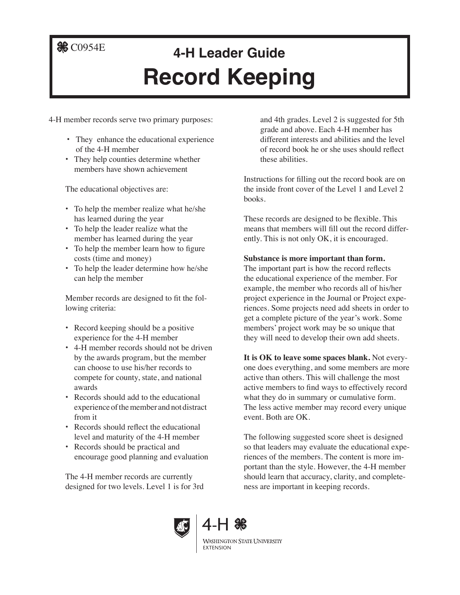## **&** C0954E

## **4-H Leader Guide Record Keeping**

4-H member records serve two primary purposes:

- **•** They enhance the educational experience of the 4-H member
- **•** They help counties determine whether members have shown achievement

The educational objectives are:

- **•** To help the member realize what he/she has learned during the year
- **•** To help the leader realize what the member has learned during the year
- **•** To help the member learn how to figure costs (time and money)
- **•** To help the leader determine how he/she can help the member

Member records are designed to fit the following criteria:

- **•** Record keeping should be a positive experience for the 4-H member
- **•** 4-H member records should not be driven by the awards program, but the member can choose to use his/her records to compete for county, state, and national awards
- **•** Records should add to the educational experience of the member and not distract from it
- Records should reflect the educational level and maturity of the 4-H member
- **•** Records should be practical and encourage good planning and evaluation

The 4-H member records are currently designed for two levels. Level 1 is for 3rd and 4th grades. Level 2 is suggested for 5th grade and above. Each 4-H member has different interests and abilities and the level of record book he or she uses should reflect these abilities.

Instructions for filling out the record book are on the inside front cover of the Level 1 and Level 2 books.

These records are designed to be flexible. This means that members will fill out the record differently. This is not only OK, it is encouraged.

## **Substance is more important than form.**

The important part is how the record reflects the educational experience of the member. For example, the member who records all of his/her project experience in the Journal or Project experiences. Some projects need add sheets in order to get a complete picture of the year's work. Some members' project work may be so unique that they will need to develop their own add sheets.

**It is OK to leave some spaces blank.** Not everyone does everything, and some members are more active than others. This will challenge the most active members to find ways to effectively record what they do in summary or cumulative form. The less active member may record every unique event. Both are OK.

The following suggested score sheet is designed so that leaders may evaluate the educational experiences of the members. The content is more important than the style. However, the 4-H member should learn that accuracy, clarity, and completeness are important in keeping records.





**WASHINGTON STATE UNIVERSITY** EXTENSION